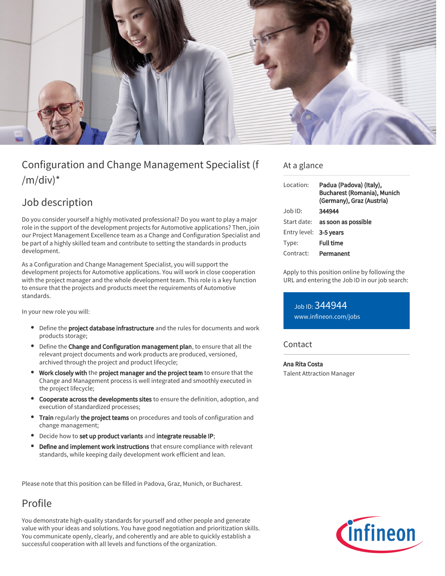

## Configuration and Change Management Specialist (f  $/m/div)^*$

## Job description

Do you consider yourself a highly motivated professional? Do you want to play a major role in the support of the development projects for Automotive applications? Then, join our Project Management Excellence team as a Change and Configuration Specialist and be part of a highly skilled team and contribute to setting the standards in products development.

As a Configuration and Change Management Specialist, you will support the development projects for Automotive applications. You will work in close cooperation with the project manager and the whole development team. This role is a key function to ensure that the projects and products meet the requirements of Automotive standards.

In your new role you will:

- Define the **project database infrastructure** and the rules for documents and work products storage;
- Define the Change and Configuration management plan, to ensure that all the relevant project documents and work products are produced, versioned, archived through the project and product lifecycle;
- **•** Work closely with the project manager and the project team to ensure that the Change and Management process is well integrated and smoothly executed in the project lifecycle;
- Cooperate across the developments sites to ensure the definition, adoption, and execution of standardized processes;
- Train regularly the project teams on procedures and tools of configuration and change management;
- Decide how to set up product variants and integrate reusable IP;
- Define and implement work instructions that ensure compliance with relevant standards, while keeping daily development work efficient and lean.

Please note that this position can be filled in Padova, Graz, Munich, or Bucharest.

## Profile

You demonstrate high-quality standards for yourself and other people and generate value with your ideas and solutions. You have good negotiation and prioritization skills. You communicate openly, clearly, and coherently and are able to quickly establish a successful cooperation with all levels and functions of the organization.

### At a glance

| Location:              | Padua (Padova) (Italy),<br><b>Bucharest (Romania), Munich</b><br>(Germany), Graz (Austria) |
|------------------------|--------------------------------------------------------------------------------------------|
| Job ID:                | 344944                                                                                     |
|                        | Start date: <b>as soon as possible</b>                                                     |
| Entry level: 3-5 years |                                                                                            |
| Type:                  | Full time                                                                                  |
| Contract:              | Permanent                                                                                  |

Apply to this position online by following the URL and entering the Job ID in our job search:

# Job ID: 344944

[www.infineon.com/jobs](https://www.infineon.com/jobs)

#### Contact

#### Ana Rita Costa

Talent Attraction Manager

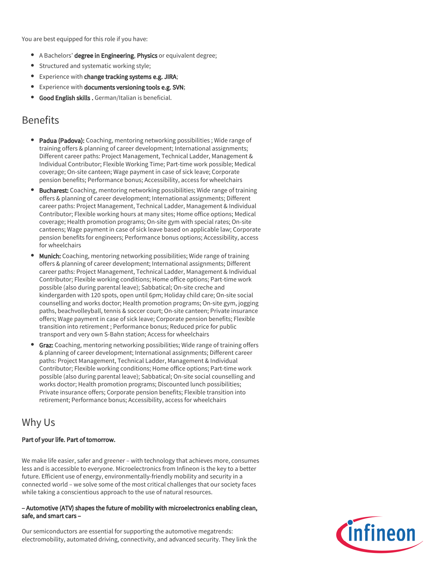You are best equipped for this role if you have:

- A Bachelors' degree in Engineering, Physics or equivalent degree;
- Structured and systematic working style;
- Experience with change tracking systems e.g. JIRA;
- **•** Experience with documents versioning tools e.g. SVN;
- Good English skills . German/Italian is beneficial.

## Benefits

- Padua (Padova): Coaching, mentoring networking possibilities; Wide range of training offers & planning of career development; International assignments; Different career paths: Project Management, Technical Ladder, Management & Individual Contributor; Flexible Working Time; Part-time work possible; Medical coverage; On-site canteen; Wage payment in case of sick leave; Corporate pension benefits; Performance bonus; Accessibility, access for wheelchairs
- Bucharest: Coaching, mentoring networking possibilities; Wide range of training offers & planning of career development; International assignments; Different career paths: Project Management, Technical Ladder, Management & Individual Contributor; Flexible working hours at many sites; Home office options; Medical coverage; Health promotion programs; On-site gym with special rates; On-site canteens; Wage payment in case of sick leave based on applicable law; Corporate pension benefits for engineers; Performance bonus options; Accessibility, access for wheelchairs
- Munich: Coaching, mentoring networking possibilities; Wide range of training offers & planning of career development; International assignments; Different career paths: Project Management, Technical Ladder, Management & Individual Contributor; Flexible working conditions; Home office options; Part-time work possible (also during parental leave); Sabbatical; On-site creche and kindergarden with 120 spots, open until 6pm; Holiday child care; On-site social counselling and works doctor; Health promotion programs; On-site gym, jogging paths, beachvolleyball, tennis & soccer court; On-site canteen; Private insurance offers; Wage payment in case of sick leave; Corporate pension benefits; Flexible transition into retirement ; Performance bonus; Reduced price for public transport and very own S-Bahn station; Access for wheelchairs
- Graz: Coaching, mentoring networking possibilities; Wide range of training offers & planning of career development; International assignments; Different career paths: Project Management, Technical Ladder, Management & Individual Contributor; Flexible working conditions; Home office options; Part-time work possible (also during parental leave); Sabbatical; On-site social counselling and works doctor; Health promotion programs; Discounted lunch possibilities; Private insurance offers; Corporate pension benefits; Flexible transition into retirement; Performance bonus; Accessibility, access for wheelchairs

## Why Us

#### Part of your life. Part of tomorrow.

We make life easier, safer and greener – with technology that achieves more, consumes less and is accessible to everyone. Microelectronics from Infineon is the key to a better future. Efficient use of energy, environmentally-friendly mobility and security in a connected world – we solve some of the most critical challenges that our society faces while taking a conscientious approach to the use of natural resources.

#### – Automotive (ATV) shapes the future of mobility with microelectronics enabling clean, safe, and smart cars –

Our semiconductors are essential for supporting the automotive megatrends: electromobility, automated driving, connectivity, and advanced security. They link the